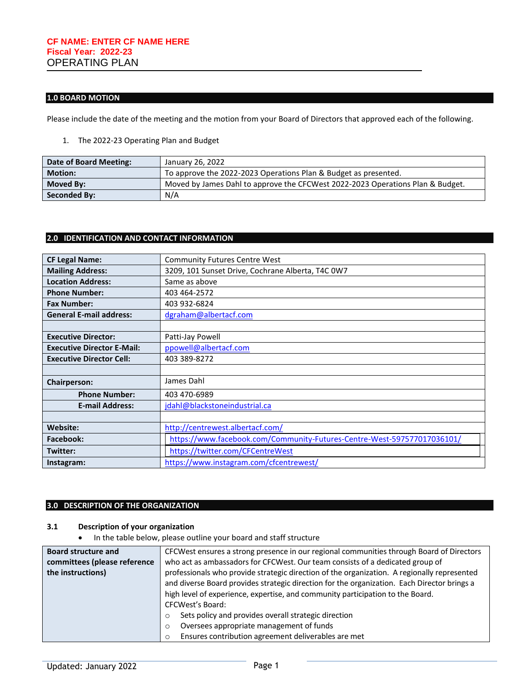## **1.0 BOARD MOTION**

Please include the date of the meeting and the motion from your Board of Directors that approved each of the following.

1. The 2022-23 Operating Plan and Budget

| Date of Board Meeting: | January 26, 2022                                                               |
|------------------------|--------------------------------------------------------------------------------|
| <b>Motion:</b>         | To approve the 2022-2023 Operations Plan & Budget as presented.                |
| Moved By:              | Moved by James Dahl to approve the CFCWest 2022-2023 Operations Plan & Budget. |
| <b>Seconded By:</b>    | N/A                                                                            |

## **2.0 IDENTIFICATION AND CONTACT INFORMATION**

| <b>CF Legal Name:</b>             | <b>Community Futures Centre West</b>                                    |  |
|-----------------------------------|-------------------------------------------------------------------------|--|
| <b>Mailing Address:</b>           | 3209, 101 Sunset Drive, Cochrane Alberta, T4C 0W7                       |  |
| <b>Location Address:</b>          | Same as above                                                           |  |
| <b>Phone Number:</b>              | 403 464-2572                                                            |  |
| <b>Fax Number:</b>                | 403 932-6824                                                            |  |
| <b>General E-mail address:</b>    | dgraham@albertacf.com                                                   |  |
|                                   |                                                                         |  |
| <b>Executive Director:</b>        | Patti-Jay Powell                                                        |  |
| <b>Executive Director E-Mail:</b> | ppowell@albertacf.com                                                   |  |
| <b>Executive Director Cell:</b>   | 403 389-8272                                                            |  |
|                                   |                                                                         |  |
| <b>Chairperson:</b>               | James Dahl                                                              |  |
| <b>Phone Number:</b>              | 403 470-6989                                                            |  |
| <b>E-mail Address:</b>            | jdahl@blackstoneindustrial.ca                                           |  |
|                                   |                                                                         |  |
| Website:                          | http://centrewest.albertacf.com/                                        |  |
| <b>Facebook:</b>                  | https://www.facebook.com/Community-Futures-Centre-West-597577017036101/ |  |
| Twitter:                          | https://twitter.com/CFCentreWest                                        |  |
| Instagram:                        | https://www.instagram.com/cfcentrewest/                                 |  |

## **3.0 DESCRIPTION OF THE ORGANIZATION**

## **3.1 Description of your organization**

• In the table below, please outline your board and staff structure

| <b>Board structure and</b>   | CFCWest ensures a strong presence in our regional communities through Board of Directors    |  |  |
|------------------------------|---------------------------------------------------------------------------------------------|--|--|
| committees (please reference | who act as ambassadors for CFCWest. Our team consists of a dedicated group of               |  |  |
| the instructions)            | professionals who provide strategic direction of the organization. A regionally represented |  |  |
|                              | and diverse Board provides strategic direction for the organization. Each Director brings a |  |  |
|                              | high level of experience, expertise, and community participation to the Board.              |  |  |
|                              | <b>CFCWest's Board:</b>                                                                     |  |  |
|                              | Sets policy and provides overall strategic direction                                        |  |  |
|                              | Oversees appropriate management of funds                                                    |  |  |
|                              | Ensures contribution agreement deliverables are met                                         |  |  |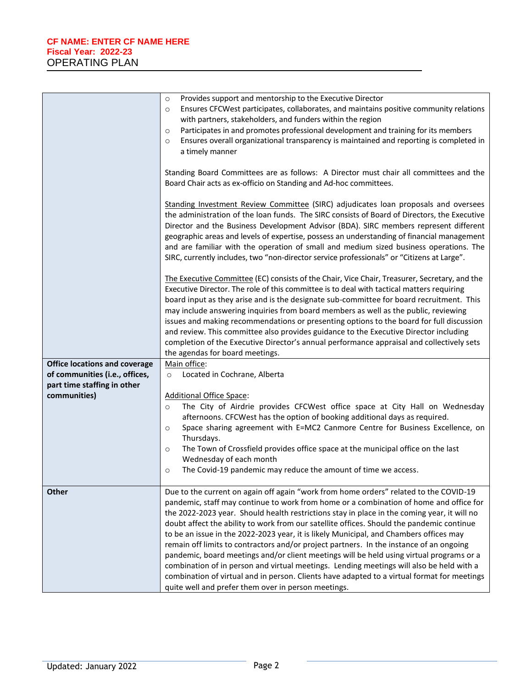|                                                               | Provides support and mentorship to the Executive Director<br>$\circ$<br>Ensures CFCWest participates, collaborates, and maintains positive community relations<br>$\circ$<br>with partners, stakeholders, and funders within the region<br>Participates in and promotes professional development and training for its members<br>$\circ$<br>Ensures overall organizational transparency is maintained and reporting is completed in<br>$\circ$<br>a timely manner                                                                                                                                                                                                                                                                                                                                                                                                                                              |
|---------------------------------------------------------------|----------------------------------------------------------------------------------------------------------------------------------------------------------------------------------------------------------------------------------------------------------------------------------------------------------------------------------------------------------------------------------------------------------------------------------------------------------------------------------------------------------------------------------------------------------------------------------------------------------------------------------------------------------------------------------------------------------------------------------------------------------------------------------------------------------------------------------------------------------------------------------------------------------------|
|                                                               | Standing Board Committees are as follows: A Director must chair all committees and the<br>Board Chair acts as ex-officio on Standing and Ad-hoc committees.                                                                                                                                                                                                                                                                                                                                                                                                                                                                                                                                                                                                                                                                                                                                                    |
|                                                               | Standing Investment Review Committee (SIRC) adjudicates loan proposals and oversees<br>the administration of the loan funds. The SIRC consists of Board of Directors, the Executive<br>Director and the Business Development Advisor (BDA). SIRC members represent different<br>geographic areas and levels of expertise, possess an understanding of financial management<br>and are familiar with the operation of small and medium sized business operations. The<br>SIRC, currently includes, two "non-director service professionals" or "Citizens at Large".                                                                                                                                                                                                                                                                                                                                             |
|                                                               | The Executive Committee (EC) consists of the Chair, Vice Chair, Treasurer, Secretary, and the<br>Executive Director. The role of this committee is to deal with tactical matters requiring<br>board input as they arise and is the designate sub-committee for board recruitment. This<br>may include answering inquiries from board members as well as the public, reviewing<br>issues and making recommendations or presenting options to the board for full discussion<br>and review. This committee also provides guidance to the Executive Director including<br>completion of the Executive Director's annual performance appraisal and collectively sets<br>the agendas for board meetings.                                                                                                                                                                                                             |
| <b>Office locations and coverage</b>                          | Main office:                                                                                                                                                                                                                                                                                                                                                                                                                                                                                                                                                                                                                                                                                                                                                                                                                                                                                                   |
| of communities (i.e., offices,<br>part time staffing in other | Located in Cochrane, Alberta<br>$\circ$                                                                                                                                                                                                                                                                                                                                                                                                                                                                                                                                                                                                                                                                                                                                                                                                                                                                        |
| communities)                                                  | <b>Additional Office Space:</b>                                                                                                                                                                                                                                                                                                                                                                                                                                                                                                                                                                                                                                                                                                                                                                                                                                                                                |
|                                                               | The City of Airdrie provides CFCWest office space at City Hall on Wednesday<br>$\circ$<br>afternoons. CFCWest has the option of booking additional days as required.<br>Space sharing agreement with E=MC2 Canmore Centre for Business Excellence, on<br>$\circ$<br>Thursdays.<br>The Town of Crossfield provides office space at the municipal office on the last<br>$\circ$<br>Wednesday of each month<br>The Covid-19 pandemic may reduce the amount of time we access.<br>$\circ$                                                                                                                                                                                                                                                                                                                                                                                                                          |
| <b>Other</b>                                                  | Due to the current on again off again "work from home orders" related to the COVID-19<br>pandemic, staff may continue to work from home or a combination of home and office for<br>the 2022-2023 year. Should health restrictions stay in place in the coming year, it will no<br>doubt affect the ability to work from our satellite offices. Should the pandemic continue<br>to be an issue in the 2022-2023 year, it is likely Municipal, and Chambers offices may<br>remain off limits to contractors and/or project partners. In the instance of an ongoing<br>pandemic, board meetings and/or client meetings will be held using virtual programs or a<br>combination of in person and virtual meetings. Lending meetings will also be held with a<br>combination of virtual and in person. Clients have adapted to a virtual format for meetings<br>quite well and prefer them over in person meetings. |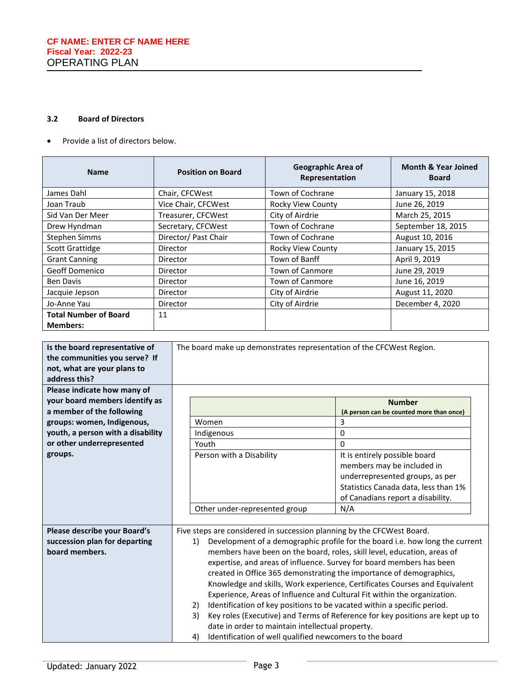## **3.2 Board of Directors**

• Provide a list of directors below.

| <b>Name</b>                                     | <b>Position on Board</b> | Geographic Area of<br>Representation | <b>Month &amp; Year Joined</b><br><b>Board</b> |
|-------------------------------------------------|--------------------------|--------------------------------------|------------------------------------------------|
| James Dahl                                      | Chair, CFCWest           | Town of Cochrane                     | January 15, 2018                               |
| Joan Traub                                      | Vice Chair, CFCWest      | Rocky View County                    | June 26, 2019                                  |
| Sid Van Der Meer                                | Treasurer, CFCWest       | City of Airdrie                      | March 25, 2015                                 |
| Drew Hyndman                                    | Secretary, CFCWest       | Town of Cochrane                     | September 18, 2015                             |
| <b>Stephen Simms</b>                            | Director/ Past Chair     | Town of Cochrane                     | August 10, 2016                                |
| <b>Scott Grattidge</b>                          | Director                 | <b>Rocky View County</b>             | January 15, 2015                               |
| <b>Grant Canning</b>                            | Director                 | Town of Banff                        | April 9, 2019                                  |
| <b>Geoff Domenico</b>                           | Director                 | <b>Town of Canmore</b>               | June 29, 2019                                  |
| <b>Ben Davis</b>                                | Director                 | <b>Town of Canmore</b>               | June 16, 2019                                  |
| Jacquie Jepson                                  | Director                 | City of Airdrie                      | August 11, 2020                                |
| Jo-Anne Yau                                     | Director                 | City of Airdrie                      | December 4, 2020                               |
| <b>Total Number of Board</b><br><b>Members:</b> | 11                       |                                      |                                                |

| Is the board representative of    | The board make up demonstrates representation of the CFCWest Region.                |                                                                              |  |
|-----------------------------------|-------------------------------------------------------------------------------------|------------------------------------------------------------------------------|--|
| the communities you serve? If     |                                                                                     |                                                                              |  |
| not, what are your plans to       |                                                                                     |                                                                              |  |
| address this?                     |                                                                                     |                                                                              |  |
| Please indicate how many of       |                                                                                     |                                                                              |  |
| your board members identify as    |                                                                                     | <b>Number</b>                                                                |  |
| a member of the following         |                                                                                     | (A person can be counted more than once)                                     |  |
| groups: women, Indigenous,        | Women                                                                               | 3                                                                            |  |
| youth, a person with a disability | Indigenous                                                                          | 0                                                                            |  |
| or other underrepresented         | Youth                                                                               | $\Omega$                                                                     |  |
| groups.                           | Person with a Disability                                                            | It is entirely possible board                                                |  |
|                                   |                                                                                     | members may be included in                                                   |  |
|                                   |                                                                                     | underrepresented groups, as per                                              |  |
|                                   |                                                                                     | Statistics Canada data, less than 1%                                         |  |
|                                   |                                                                                     | of Canadians report a disability.                                            |  |
|                                   | Other under-represented group                                                       | N/A                                                                          |  |
|                                   |                                                                                     |                                                                              |  |
| Please describe your Board's      | Five steps are considered in succession planning by the CFCWest Board.              |                                                                              |  |
| succession plan for departing     | 1)                                                                                  | Development of a demographic profile for the board i.e. how long the current |  |
| board members.                    |                                                                                     | members have been on the board, roles, skill level, education, areas of      |  |
|                                   | expertise, and areas of influence. Survey for board members has been                |                                                                              |  |
|                                   | created in Office 365 demonstrating the importance of demographics,                 |                                                                              |  |
|                                   | Knowledge and skills, Work experience, Certificates Courses and Equivalent          |                                                                              |  |
|                                   | Experience, Areas of Influence and Cultural Fit within the organization.            |                                                                              |  |
|                                   | 2)                                                                                  | Identification of key positions to be vacated within a specific period.      |  |
|                                   | Key roles (Executive) and Terms of Reference for key positions are kept up to<br>3) |                                                                              |  |
|                                   | date in order to maintain intellectual property.                                    |                                                                              |  |
|                                   | Identification of well qualified newcomers to the board<br>4)                       |                                                                              |  |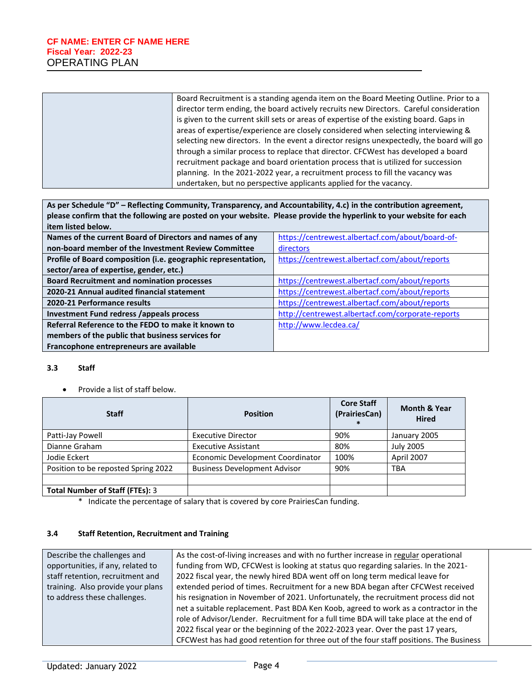| Board Recruitment is a standing agenda item on the Board Meeting Outline. Prior to a<br>director term ending, the board actively recruits new Directors. Careful consideration<br>is given to the current skill sets or areas of expertise of the existing board. Gaps in<br>areas of expertise/experience are closely considered when selecting interviewing & |
|-----------------------------------------------------------------------------------------------------------------------------------------------------------------------------------------------------------------------------------------------------------------------------------------------------------------------------------------------------------------|
| selecting new directors. In the event a director resigns unexpectedly, the board will go<br>through a similar process to replace that director. CFCWest has developed a board                                                                                                                                                                                   |
| recruitment package and board orientation process that is utilized for succession                                                                                                                                                                                                                                                                               |
| planning. In the 2021-2022 year, a recruitment process to fill the vacancy was                                                                                                                                                                                                                                                                                  |
| undertaken, but no perspective applicants applied for the vacancy.                                                                                                                                                                                                                                                                                              |

**As per Schedule "D" – Reflecting Community, Transparency, and Accountability, 4.c) in the contribution agreement, please confirm that the following are posted on your website. Please provide the hyperlink to your website for each item listed below.** 

| Names of the current Board of Directors and names of any      | https://centrewest.albertacf.com/about/board-of-  |
|---------------------------------------------------------------|---------------------------------------------------|
| non-board member of the Investment Review Committee           | directors                                         |
| Profile of Board composition (i.e. geographic representation, | https://centrewest.albertacf.com/about/reports    |
| sector/area of expertise, gender, etc.)                       |                                                   |
| <b>Board Recruitment and nomination processes</b>             | https://centrewest.albertacf.com/about/reports    |
| 2020-21 Annual audited financial statement                    | https://centrewest.albertacf.com/about/reports    |
| 2020-21 Performance results                                   | https://centrewest.albertacf.com/about/reports    |
| <b>Investment Fund redress /appeals process</b>               | http://centrewest.albertacf.com/corporate-reports |
| Referral Reference to the FEDO to make it known to            | http://www.lecdea.ca/                             |
| members of the public that business services for              |                                                   |
| Francophone entrepreneurs are available                       |                                                   |

### **3.3 Staff**

• Provide a list of staff below.

| <b>Staff</b>                           | <b>Position</b>                     | <b>Core Staff</b><br>(PrairiesCan)<br>$\ast$ | <b>Month &amp; Year</b><br><b>Hired</b> |
|----------------------------------------|-------------------------------------|----------------------------------------------|-----------------------------------------|
| Patti-Jay Powell                       | <b>Executive Director</b>           | 90%                                          | January 2005                            |
| Dianne Graham                          | <b>Executive Assistant</b>          | 80%                                          | <b>July 2005</b>                        |
| Jodie Eckert                           | Economic Development Coordinator    | 100%                                         | April 2007                              |
| Position to be reposted Spring 2022    | <b>Business Development Advisor</b> | 90%                                          | <b>TBA</b>                              |
|                                        |                                     |                                              |                                         |
| <b>Total Number of Staff (FTEs): 3</b> |                                     |                                              |                                         |

\* Indicate the percentage of salary that is covered by core PrairiesCan funding.

#### **3.4 Staff Retention, Recruitment and Training**

| Describe the challenges and       | As the cost-of-living increases and with no further increase in regular operational    |
|-----------------------------------|----------------------------------------------------------------------------------------|
| opportunities, if any, related to | funding from WD, CFCWest is looking at status quo regarding salaries. In the 2021-     |
| staff retention, recruitment and  | 2022 fiscal year, the newly hired BDA went off on long term medical leave for          |
| training. Also provide your plans | extended period of times. Recruitment for a new BDA began after CFCWest received       |
| to address these challenges.      | his resignation in November of 2021. Unfortunately, the recruitment process did not    |
|                                   | net a suitable replacement. Past BDA Ken Koob, agreed to work as a contractor in the   |
|                                   | role of Advisor/Lender. Recruitment for a full time BDA will take place at the end of  |
|                                   | 2022 fiscal year or the beginning of the 2022-2023 year. Over the past 17 years,       |
|                                   | CFCWest has had good retention for three out of the four staff positions. The Business |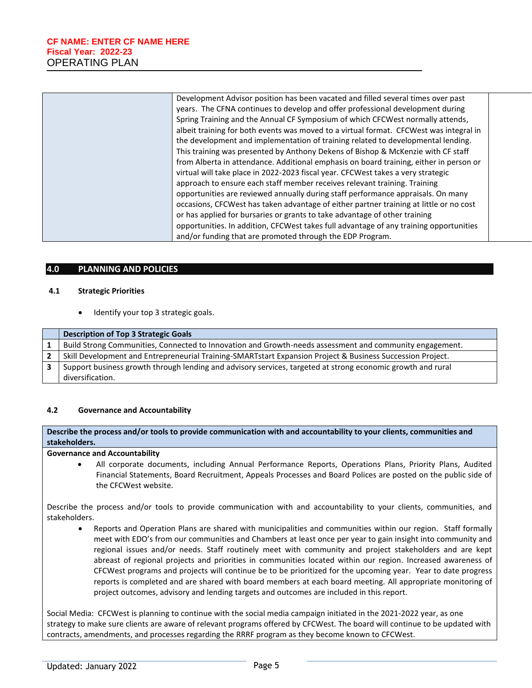| Development Advisor position has been vacated and filled several times over past       |
|----------------------------------------------------------------------------------------|
| years. The CFNA continues to develop and offer professional development during         |
| Spring Training and the Annual CF Symposium of which CFCWest normally attends,         |
| albeit training for both events was moved to a virtual format. CFCWest was integral in |
| the development and implementation of training related to developmental lending.       |
| This training was presented by Anthony Dekens of Bishop & McKenzie with CF staff       |
| from Alberta in attendance. Additional emphasis on board training, either in person or |
| virtual will take place in 2022-2023 fiscal year. CFCWest takes a very strategic       |
| approach to ensure each staff member receives relevant training. Training              |
| opportunities are reviewed annually during staff performance appraisals. On many       |
| occasions, CFCWest has taken advantage of either partner training at little or no cost |
| or has applied for bursaries or grants to take advantage of other training             |
| opportunities. In addition, CFCWest takes full advantage of any training opportunities |
| and/or funding that are promoted through the EDP Program.                              |
|                                                                                        |

#### **4.0 PLANNING AND POLICIES**

#### **4.1 Strategic Priorities**

Identify your top 3 strategic goals.

| <b>Description of Top 3 Strategic Goals</b>                                                                 |
|-------------------------------------------------------------------------------------------------------------|
| Build Strong Communities, Connected to Innovation and Growth-needs assessment and community engagement.     |
| Skill Development and Entrepreneurial Training-SMARTstart Expansion Project & Business Succession Project.  |
| Support business growth through lending and advisory services, targeted at strong economic growth and rural |
| diversification.                                                                                            |

#### **4.2 Governance and Accountability**

**Describe the process and/or tools to provide communication with and accountability to your clients, communities and stakeholders.** 

**Governance and Accountability**

• All corporate documents, including Annual Performance Reports, Operations Plans, Priority Plans, Audited Financial Statements, Board Recruitment, Appeals Processes and Board Polices are posted on the public side of the CFCWest website.

Describe the process and/or tools to provide communication with and accountability to your clients, communities, and stakeholders.

• Reports and Operation Plans are shared with municipalities and communities within our region. Staff formally meet with EDO's from our communities and Chambers at least once per year to gain insight into community and regional issues and/or needs. Staff routinely meet with community and project stakeholders and are kept abreast of regional projects and priorities in communities located within our region. Increased awareness of CFCWest programs and projects will continue be to be prioritized for the upcoming year. Year to date progress reports is completed and are shared with board members at each board meeting. All appropriate monitoring of project outcomes, advisory and lending targets and outcomes are included in this report.

Social Media: CFCWest is planning to continue with the social media campaign initiated in the 2021-2022 year, as one strategy to make sure clients are aware of relevant programs offered by CFCWest. The board will continue to be updated with contracts, amendments, and processes regarding the RRRF program as they become known to CFCWest.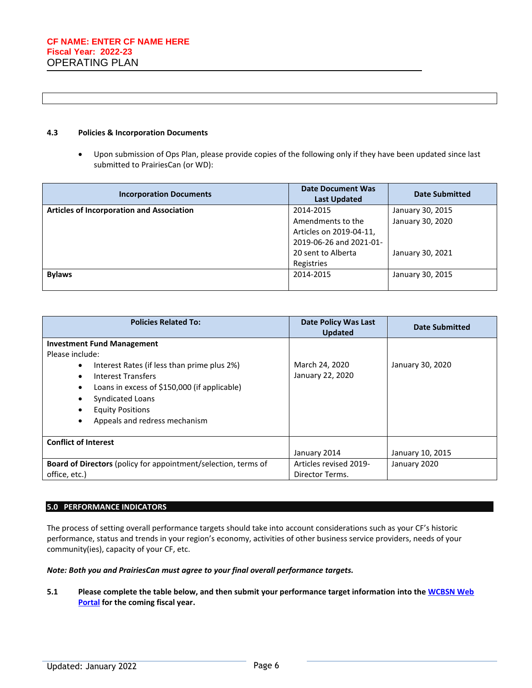#### **4.3 Policies & Incorporation Documents**

• Upon submission of Ops Plan, please provide copies of the following only if they have been updated since last submitted to PrairiesCan (or WD):

| <b>Incorporation Documents</b>                   | <b>Date Document Was</b><br><b>Last Updated</b> | Date Submitted   |  |
|--------------------------------------------------|-------------------------------------------------|------------------|--|
| <b>Articles of Incorporation and Association</b> | 2014-2015                                       | January 30, 2015 |  |
|                                                  | Amendments to the                               | January 30, 2020 |  |
|                                                  | Articles on 2019-04-11,                         |                  |  |
|                                                  | 2019-06-26 and 2021-01-                         |                  |  |
|                                                  | 20 sent to Alberta                              | January 30, 2021 |  |
|                                                  | Registries                                      |                  |  |
| <b>Bylaws</b>                                    | 2014-2015                                       | January 30, 2015 |  |
|                                                  |                                                 |                  |  |

| <b>Policies Related To:</b>                                                                                                                                                                                                                                                              | <b>Date Policy Was Last</b><br><b>Updated</b> | <b>Date Submitted</b> |
|------------------------------------------------------------------------------------------------------------------------------------------------------------------------------------------------------------------------------------------------------------------------------------------|-----------------------------------------------|-----------------------|
| <b>Investment Fund Management</b><br>Please include:<br>Interest Rates (if less than prime plus 2%)<br>$\bullet$<br>Interest Transfers<br>$\bullet$<br>Loans in excess of \$150,000 (if applicable)<br>Syndicated Loans<br><b>Equity Positions</b><br>Appeals and redress mechanism<br>٠ | March 24, 2020<br>January 22, 2020            | January 30, 2020      |
| <b>Conflict of Interest</b>                                                                                                                                                                                                                                                              | January 2014                                  | January 10, 2015      |
| Board of Directors (policy for appointment/selection, terms of<br>office, etc.)                                                                                                                                                                                                          | Articles revised 2019-<br>Director Terms.     | January 2020          |

#### **5.0 PERFORMANCE INDICATORS**

The process of setting overall performance targets should take into account considerations such as your CF's historic performance, status and trends in your region's economy, activities of other business service providers, needs of your community(ies), capacity of your CF, etc.

#### *Note: Both you and PrairiesCan must agree to your final overall performance targets.*

**5.1 Please complete the table below, and then submit your performance target information into th[e WCBSN Web](https://port.wd-deo.gc.ca/)  [Portal](https://port.wd-deo.gc.ca/) for the coming fiscal year.**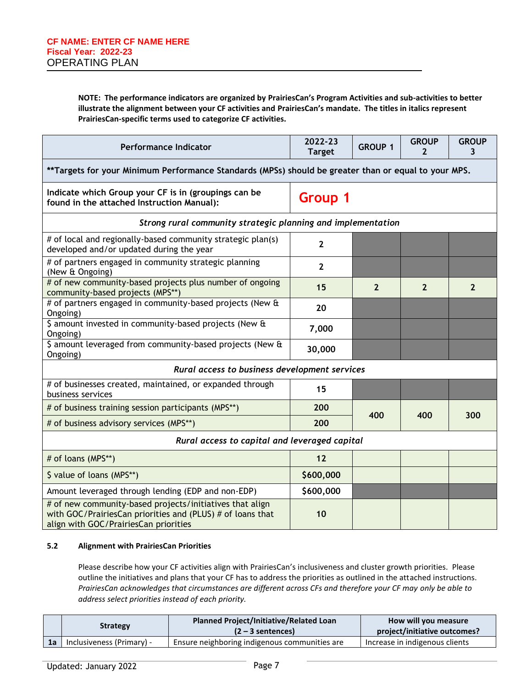**NOTE: The performance indicators are organized by PrairiesCan's Program Activities and sub-activities to better illustrate the alignment between your CF activities and PrairiesCan's mandate. The titles in italics represent PrairiesCan-specific terms used to categorize CF activities.**

| <b>Performance Indicator</b>                                                                                                                                    | 2022-23<br><b>Target</b> | <b>GROUP 1</b> | <b>GROUP</b><br>2 | <b>GROUP</b><br>3 |
|-----------------------------------------------------------------------------------------------------------------------------------------------------------------|--------------------------|----------------|-------------------|-------------------|
| **Targets for your Minimum Performance Standards (MPSs) should be greater than or equal to your MPS.                                                            |                          |                |                   |                   |
| Indicate which Group your CF is in (groupings can be<br>found in the attached Instruction Manual):                                                              | <b>Group 1</b>           |                |                   |                   |
| Strong rural community strategic planning and implementation                                                                                                    |                          |                |                   |                   |
| # of local and regionally-based community strategic plan(s)<br>developed and/or updated during the year                                                         | $\overline{2}$           |                |                   |                   |
| # of partners engaged in community strategic planning<br>(New & Ongoing)                                                                                        | $\overline{2}$           |                |                   |                   |
| # of new community-based projects plus number of ongoing<br>community-based projects (MPS**)                                                                    | 15                       | $\overline{2}$ | $\overline{2}$    | $\overline{2}$    |
| # of partners engaged in community-based projects (New &<br>Ongoing)                                                                                            | 20                       |                |                   |                   |
| \$ amount invested in community-based projects (New &<br>Ongoing)                                                                                               | 7,000                    |                |                   |                   |
| \$ amount leveraged from community-based projects (New &<br>Ongoing)                                                                                            | 30,000                   |                |                   |                   |
| Rural access to business development services                                                                                                                   |                          |                |                   |                   |
| # of businesses created, maintained, or expanded through<br>business services                                                                                   | 15                       |                |                   |                   |
| # of business training session participants (MPS**)                                                                                                             | 200                      | 400            | 400               | 300               |
| # of business advisory services (MPS**)                                                                                                                         | 200                      |                |                   |                   |
| Rural access to capital and leveraged capital                                                                                                                   |                          |                |                   |                   |
| # of loans (MPS**)                                                                                                                                              | 12                       |                |                   |                   |
| \$ value of loans (MPS**)                                                                                                                                       | \$600,000                |                |                   |                   |
| Amount leveraged through lending (EDP and non-EDP)                                                                                                              | \$600,000                |                |                   |                   |
| # of new community-based projects/initiatives that align<br>with GOC/PrairiesCan priorities and (PLUS) # of loans that<br>align with GOC/PrairiesCan priorities | 10                       |                |                   |                   |

#### **5.2 Alignment with PrairiesCan Priorities**

Please describe how your CF activities align with PrairiesCan's inclusiveness and cluster growth priorities. Please outline the initiatives and plans that your CF has to address the priorities as outlined in the attached instructions. *PrairiesCan acknowledges that circumstances are different across CFs and therefore your CF may only be able to address select priorities instead of each priority.*

| <b>Strategy</b>                | <b>Planned Project/Initiative/Related Loan</b><br>$(2 - 3$ sentences) | How will you measure<br>project/initiative outcomes? |  |  |
|--------------------------------|-----------------------------------------------------------------------|------------------------------------------------------|--|--|
| 1a   Inclusiveness (Primary) - | Ensure neighboring indigenous communities are                         | Increase in indigenous clients                       |  |  |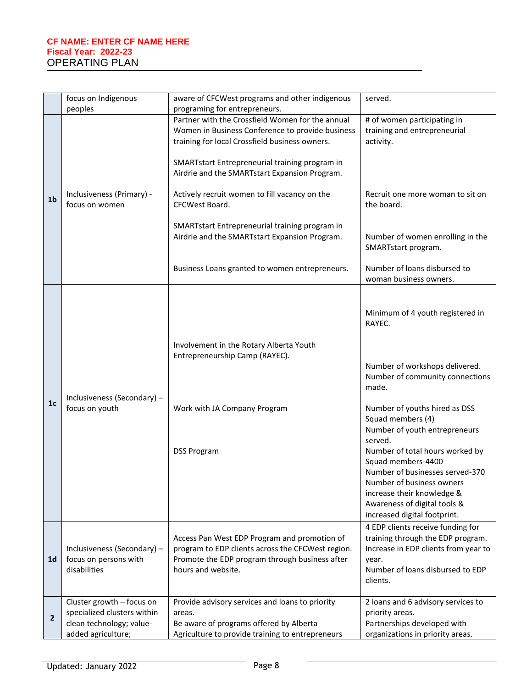|                | focus on Indigenous<br>aware of CFCWest programs and other indigenous<br>peoples<br>programing for entrepreneurs. |                                                                                                                                                                                                                                                           | served.                                                                                                                                                                                                                                                                                                                                                                                                                                           |
|----------------|-------------------------------------------------------------------------------------------------------------------|-----------------------------------------------------------------------------------------------------------------------------------------------------------------------------------------------------------------------------------------------------------|---------------------------------------------------------------------------------------------------------------------------------------------------------------------------------------------------------------------------------------------------------------------------------------------------------------------------------------------------------------------------------------------------------------------------------------------------|
|                |                                                                                                                   | Partner with the Crossfield Women for the annual<br>Women in Business Conference to provide business<br>training for local Crossfield business owners.<br>SMARTstart Entrepreneurial training program in<br>Airdrie and the SMARTstart Expansion Program. | # of women participating in<br>training and entrepreneurial<br>activity.                                                                                                                                                                                                                                                                                                                                                                          |
| 1 <sub>b</sub> | Inclusiveness (Primary) -<br>focus on women                                                                       | Actively recruit women to fill vacancy on the<br>CFCWest Board.                                                                                                                                                                                           | Recruit one more woman to sit on<br>the board.                                                                                                                                                                                                                                                                                                                                                                                                    |
|                |                                                                                                                   | SMARTstart Entrepreneurial training program in<br>Airdrie and the SMARTstart Expansion Program.                                                                                                                                                           | Number of women enrolling in the<br>SMARTstart program.                                                                                                                                                                                                                                                                                                                                                                                           |
|                |                                                                                                                   | Business Loans granted to women entrepreneurs.                                                                                                                                                                                                            | Number of loans disbursed to<br>woman business owners.                                                                                                                                                                                                                                                                                                                                                                                            |
| 1 <sub>c</sub> | Inclusiveness (Secondary) -<br>focus on youth                                                                     | Involvement in the Rotary Alberta Youth<br>Entrepreneurship Camp (RAYEC).<br>Work with JA Company Program<br><b>DSS Program</b>                                                                                                                           | Minimum of 4 youth registered in<br>RAYEC.<br>Number of workshops delivered.<br>Number of community connections<br>made.<br>Number of youths hired as DSS<br>Squad members (4)<br>Number of youth entrepreneurs<br>served.<br>Number of total hours worked by<br>Squad members-4400<br>Number of businesses served-370<br>Number of business owners<br>increase their knowledge &<br>Awareness of digital tools &<br>increased digital footprint. |
| 1 <sub>d</sub> | Inclusiveness (Secondary) -<br>focus on persons with<br>disabilities                                              | Access Pan West EDP Program and promotion of<br>program to EDP clients across the CFCWest region.<br>Promote the EDP program through business after<br>hours and website.                                                                                 | 4 EDP clients receive funding for<br>training through the EDP program.<br>Increase in EDP clients from year to<br>year.<br>Number of loans disbursed to EDP<br>clients.                                                                                                                                                                                                                                                                           |
| $\overline{2}$ | Cluster growth - focus on<br>specialized clusters within<br>clean technology; value-<br>added agriculture;        | Provide advisory services and loans to priority<br>areas.<br>Be aware of programs offered by Alberta<br>Agriculture to provide training to entrepreneurs                                                                                                  | 2 loans and 6 advisory services to<br>priority areas.<br>Partnerships developed with<br>organizations in priority areas.                                                                                                                                                                                                                                                                                                                          |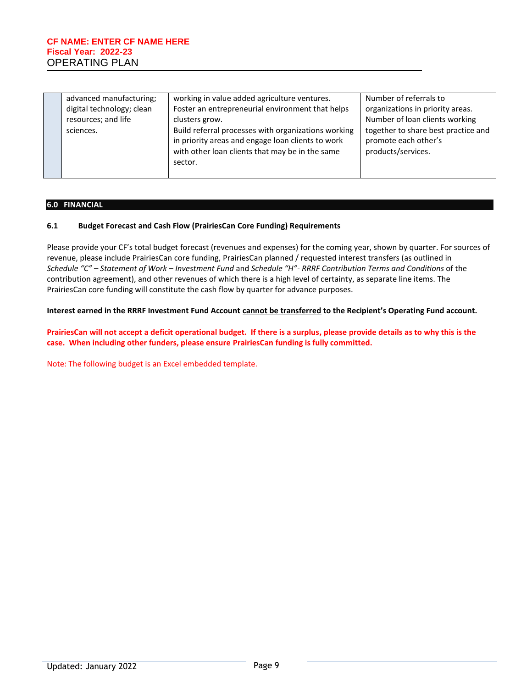| advanced manufacturing;   | working in value added agriculture ventures.        | Number of referrals to              |
|---------------------------|-----------------------------------------------------|-------------------------------------|
| digital technology; clean | Foster an entrepreneurial environment that helps    | organizations in priority areas.    |
| resources; and life       | clusters grow.                                      | Number of loan clients working      |
| sciences.                 | Build referral processes with organizations working | together to share best practice and |
|                           | in priority areas and engage loan clients to work   | promote each other's                |
|                           | with other loan clients that may be in the same     | products/services.                  |
|                           | sector.                                             |                                     |
|                           |                                                     |                                     |

#### **6.0 FINANCIAL**

#### **6.1 Budget Forecast and Cash Flow (PrairiesCan Core Funding) Requirements**

Please provide your CF's total budget forecast (revenues and expenses) for the coming year, shown by quarter. For sources of revenue, please include PrairiesCan core funding, PrairiesCan planned / requested interest transfers (as outlined in *Schedule "C" – Statement of Work – Investment Fund* and *Schedule "H"- RRRF Contribution Terms and Conditions* of the contribution agreement), and other revenues of which there is a high level of certainty, as separate line items. The PrairiesCan core funding will constitute the cash flow by quarter for advance purposes.

#### **Interest earned in the RRRF Investment Fund Account cannot be transferred to the Recipient's Operating Fund account.**

**PrairiesCan will not accept a deficit operational budget. If there is a surplus, please provide details as to why this is the case. When including other funders, please ensure PrairiesCan funding is fully committed.** 

Note: The following budget is an Excel embedded template.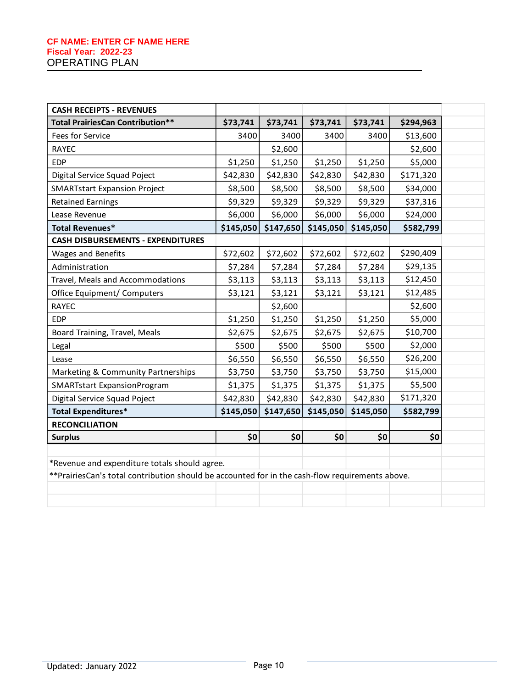| <b>CASH RECEIPTS - REVENUES</b>                                                                 |           |           |           |           |           |  |
|-------------------------------------------------------------------------------------------------|-----------|-----------|-----------|-----------|-----------|--|
| <b>Total PrairiesCan Contribution**</b>                                                         | \$73,741  | \$73,741  | \$73,741  | \$73,741  | \$294,963 |  |
| Fees for Service                                                                                | 3400      | 3400      | 3400      | 3400      | \$13,600  |  |
| <b>RAYEC</b>                                                                                    |           | \$2,600   |           |           | \$2,600   |  |
| <b>EDP</b>                                                                                      | \$1,250   | \$1,250   | \$1,250   | \$1,250   | \$5,000   |  |
| Digital Service Squad Poject                                                                    | \$42,830  | \$42,830  | \$42,830  | \$42,830  | \$171,320 |  |
| <b>SMARTstart Expansion Project</b>                                                             | \$8,500   | \$8,500   | \$8,500   | \$8,500   | \$34,000  |  |
| <b>Retained Earnings</b>                                                                        | \$9,329   | \$9,329   | \$9,329   | \$9,329   | \$37,316  |  |
| Lease Revenue                                                                                   | \$6,000   | \$6,000   | \$6,000   | \$6,000   | \$24,000  |  |
| <b>Total Revenues*</b>                                                                          | \$145,050 | \$147,650 | \$145,050 | \$145,050 | \$582,799 |  |
| <b>CASH DISBURSEMENTS - EXPENDITURES</b>                                                        |           |           |           |           |           |  |
| Wages and Benefits                                                                              | \$72,602  | \$72,602  | \$72,602  | \$72,602  | \$290,409 |  |
| Administration                                                                                  | \$7,284   | \$7,284   | \$7,284   | \$7,284   | \$29,135  |  |
| Travel, Meals and Accommodations                                                                | \$3,113   | \$3,113   | \$3,113   | \$3,113   | \$12,450  |  |
| Office Equipment/ Computers                                                                     | \$3,121   | \$3,121   | \$3,121   | \$3,121   | \$12,485  |  |
| <b>RAYEC</b>                                                                                    |           | \$2,600   |           |           | \$2,600   |  |
| <b>EDP</b>                                                                                      | \$1,250   | \$1,250   | \$1,250   | \$1,250   | \$5,000   |  |
| Board Training, Travel, Meals                                                                   | \$2,675   | \$2,675   | \$2,675   | \$2,675   | \$10,700  |  |
| Legal                                                                                           | \$500     | \$500     | \$500     | \$500     | \$2,000   |  |
| Lease                                                                                           | \$6,550   | \$6,550   | \$6,550   | \$6,550   | \$26,200  |  |
| Marketing & Community Partnerships                                                              | \$3,750   | \$3,750   | \$3,750   | \$3,750   | \$15,000  |  |
| <b>SMARTstart ExpansionProgram</b>                                                              | \$1,375   | \$1,375   | \$1,375   | \$1,375   | \$5,500   |  |
| Digital Service Squad Poject                                                                    | \$42,830  | \$42,830  | \$42,830  | \$42,830  | \$171,320 |  |
| <b>Total Expenditures*</b>                                                                      | \$145,050 | \$147,650 | \$145,050 | \$145,050 | \$582,799 |  |
| <b>RECONCILIATION</b>                                                                           |           |           |           |           |           |  |
| <b>Surplus</b>                                                                                  | \$0       | \$0       | \$0       | \$0       | \$0       |  |
|                                                                                                 |           |           |           |           |           |  |
| *Revenue and expenditure totals should agree.                                                   |           |           |           |           |           |  |
| **PrairiesCan's total contribution should be accounted for in the cash-flow requirements above. |           |           |           |           |           |  |
|                                                                                                 |           |           |           |           |           |  |
|                                                                                                 |           |           |           |           |           |  |